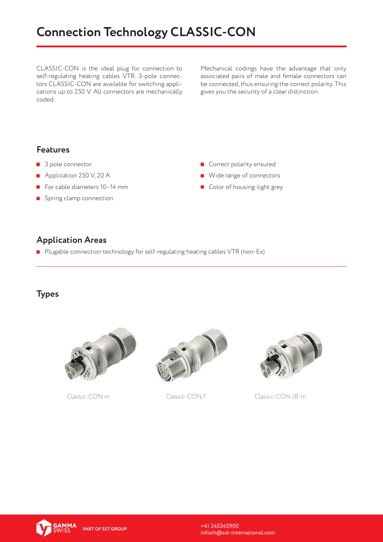# **Connection Technology CLASSIC-CON**

CLASSIC-CON is the ideal plug for connection to self-regulating heating cables VTR. 3-pole connectors CLASSIC-CON are available for switching applications up to 250 V. All connectors are mechanically coded.

Mechanical codings have the advantage that only associated pairs of male and female connectors can be connected, thus ensuring the correct polarity. This gives you the security of a clear distinction.

#### **Features**

- 3 pole connector
- Application 250 V, 20 A
- For cable diameters 10-14 mm
- Spring clamp connection
- Correct polarity ensured
- Wide range of connectors
- Color of housing-light grey

#### **Application Areas**

Plugable connection technology for self-regulating heating cables VTR (non-Ex)

#### **Types**







Classic-CON m Classic-CON f Classic-CON JB-m